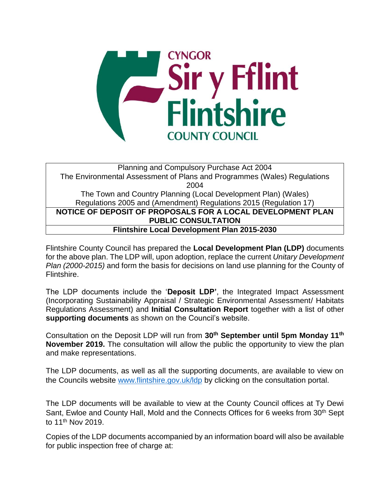

Planning and Compulsory Purchase Act 2004 The Environmental Assessment of Plans and Programmes (Wales) Regulations 2004 The Town and Country Planning (Local Development Plan) (Wales) Regulations 2005 and (Amendment) Regulations 2015 (Regulation 17) **NOTICE OF DEPOSIT OF PROPOSALS FOR A LOCAL DEVELOPMENT PLAN PUBLIC CONSULTATION Flintshire Local Development Plan 2015-2030**

Flintshire County Council has prepared the **Local Development Plan (LDP)** documents for the above plan. The LDP will, upon adoption, replace the current *Unitary Development Plan (2000-2015)* and form the basis for decisions on land use planning for the County of Flintshire.

The LDP documents include the '**Deposit LDP'**, the Integrated Impact Assessment (Incorporating Sustainability Appraisal / Strategic Environmental Assessment/ Habitats Regulations Assessment) and **Initial Consultation Report** together with a list of other **supporting documents** as shown on the Council's website.

Consultation on the Deposit LDP will run from **30th September until 5pm Monday 11th November 2019.** The consultation will allow the public the opportunity to view the plan and make representations.

The LDP documents, as well as all the supporting documents, are available to view on the Councils website [www.flintshire.gov.uk/ldp](http://www.flintshire.gov.uk/ldp) by clicking on the consultation portal.

The LDP documents will be available to view at the County Council offices at Ty Dewi Sant, Ewloe and County Hall, Mold and the Connects Offices for 6 weeks from 30<sup>th</sup> Sept to 11th Nov 2019.

Copies of the LDP documents accompanied by an information board will also be available for public inspection free of charge at: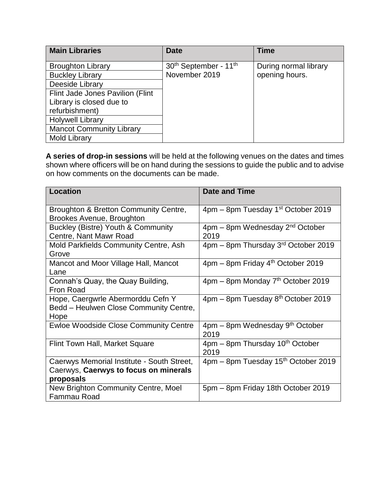| <b>Main Libraries</b>            | <b>Date</b>                                   | <b>Time</b>           |
|----------------------------------|-----------------------------------------------|-----------------------|
| <b>Broughton Library</b>         | 30 <sup>th</sup> September - 11 <sup>th</sup> | During normal library |
| <b>Buckley Library</b>           | November 2019                                 | opening hours.        |
| Deeside Library                  |                                               |                       |
| Flint Jade Jones Pavilion (Flint |                                               |                       |
| Library is closed due to         |                                               |                       |
| refurbishment)                   |                                               |                       |
| <b>Holywell Library</b>          |                                               |                       |
| <b>Mancot Community Library</b>  |                                               |                       |
| <b>Mold Library</b>              |                                               |                       |

**A series of drop-in sessions** will be held at the following venues on the dates and times shown where officers will be on hand during the sessions to guide the public and to advise on how comments on the documents can be made.

| Location                                     | <b>Date and Time</b>                                             |
|----------------------------------------------|------------------------------------------------------------------|
| Broughton & Bretton Community Centre,        | 4pm – 8pm Tuesday 1 <sup>st</sup> October 2019                   |
| Brookes Avenue, Broughton                    |                                                                  |
| Buckley (Bistre) Youth & Community           | $4$ pm – 8pm Wednesday $2nd$ October                             |
| Centre, Nant Mawr Road                       | 2019                                                             |
| Mold Parkfields Community Centre, Ash        | 4pm - 8pm Thursday 3rd October 2019                              |
| Grove                                        |                                                                  |
| Mancot and Moor Village Hall, Mancot         | $4 \text{pm} - 8 \text{pm}$ Friday $4^{\text{th}}$ October 2019  |
| Lane                                         |                                                                  |
| Connah's Quay, the Quay Building,            | 4pm – 8pm Monday 7 <sup>th</sup> October 2019                    |
| Fron Road                                    |                                                                  |
| Hope, Caergwrle Abermorddu Cefn Y            | $4 \text{pm} - 8 \text{pm}$ Tuesday $8^{\text{th}}$ October 2019 |
| Bedd - Heulwen Close Community Centre,       |                                                                  |
| Hope                                         |                                                                  |
| <b>Ewloe Woodside Close Community Centre</b> | 4pm – 8pm Wednesday 9 <sup>th</sup> October                      |
|                                              | 2019                                                             |
| Flint Town Hall, Market Square               | $4 \text{pm} - 8 \text{pm}$ Thursday 10 <sup>th</sup> October    |
|                                              | 2019                                                             |
| Caerwys Memorial Institute - South Street,   | 4pm – 8pm Tuesday 15 <sup>th</sup> October 2019                  |
| Caerwys, Caerwys to focus on minerals        |                                                                  |
| proposals                                    |                                                                  |
| New Brighton Community Centre, Moel          | 5pm - 8pm Friday 18th October 2019                               |
| Fammau Road                                  |                                                                  |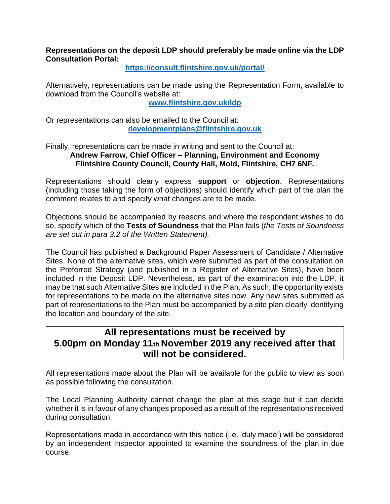## **Representations on the deposit LDP should preferably be made online via the LDP Consultation Portal:**

**<https://consult.flintshire.gov.uk/portal/>**

Alternatively, representations can be made using the Representation Form, available to download from the Council's website at:

**[www.flintshire.gov.uk/ldp](http://www.flintshire.gov.uk/ldp)**

Or representations can also be emailed to the Council at: **[developmentplans@flintshire.gov.uk](mailto:developmentplans@flintshire.gov.uk)**

Finally, representations can be made in writing and sent to the Council at: **Andrew Farrow, Chief Officer – Planning, Environment and Economy Flintshire County Council, County Hall, Mold, Flintshire, CH7 6NF.**

Representations should clearly express **support** or **objection**. Representations (including those taking the form of objections) should identify which part of the plan the comment relates to and specify what changes are to be made.

Objections should be accompanied by reasons and where the respondent wishes to do so, specify which of the **Tests of Soundness** that the Plan fails (*the Tests of Soundness are set out in para 3.2 of the Written Statement).*

The Council has published a Background Paper Assessment of Candidate / Alternative Sites. None of the alternative sites, which were submitted as part of the consultation on the Preferred Strategy (and published in a Register of Alternative Sites), have been included in the Deposit LDP. Nevertheless, as part of the examination into the LDP, it may be that such Alternative Sites are included in the Plan. As such, the opportunity exists for representations to be made on the alternative sites now. Any new sites submitted as part of representations to the Plan must be accompanied by a site plan clearly identifying the location and boundary of the site.

## **All representations must be received by 5.00pm on Monday 11th November 2019 any received after that will not be considered.**

All representations made about the Plan will be available for the public to view as soon as possible following the consultation.

The Local Planning Authority cannot change the plan at this stage but it can decide whether it is in favour of any changes proposed as a result of the representations received during consultation.

Representations made in accordance with this notice (i.e. 'duly made') will be considered by an independent Inspector appointed to examine the soundness of the plan in due course.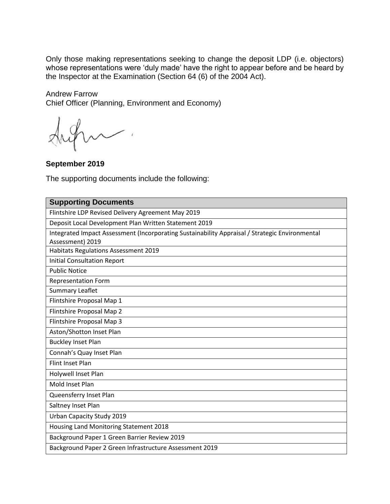Only those making representations seeking to change the deposit LDP (i.e. objectors) whose representations were 'duly made' have the right to appear before and be heard by the Inspector at the Examination (Section 64 (6) of the 2004 Act).

Andrew Farrow Chief Officer (Planning, Environment and Economy)

**September 2019**

The supporting documents include the following:

| <b>Supporting Documents</b>                                                                    |  |  |
|------------------------------------------------------------------------------------------------|--|--|
| Flintshire LDP Revised Delivery Agreement May 2019                                             |  |  |
| Deposit Local Development Plan Written Statement 2019                                          |  |  |
| Integrated Impact Assessment (Incorporating Sustainability Appraisal / Strategic Environmental |  |  |
| Assessment) 2019                                                                               |  |  |
| Habitats Regulations Assessment 2019                                                           |  |  |
| <b>Initial Consultation Report</b>                                                             |  |  |
| <b>Public Notice</b>                                                                           |  |  |
| <b>Representation Form</b>                                                                     |  |  |
| <b>Summary Leaflet</b>                                                                         |  |  |
| Flintshire Proposal Map 1                                                                      |  |  |
| Flintshire Proposal Map 2                                                                      |  |  |
| Flintshire Proposal Map 3                                                                      |  |  |
| Aston/Shotton Inset Plan                                                                       |  |  |
| <b>Buckley Inset Plan</b>                                                                      |  |  |
| Connah's Quay Inset Plan                                                                       |  |  |
| Flint Inset Plan                                                                               |  |  |
| Holywell Inset Plan                                                                            |  |  |
| Mold Inset Plan                                                                                |  |  |
| Queensferry Inset Plan                                                                         |  |  |
| Saltney Inset Plan                                                                             |  |  |
| Urban Capacity Study 2019                                                                      |  |  |
| Housing Land Monitoring Statement 2018                                                         |  |  |
| Background Paper 1 Green Barrier Review 2019                                                   |  |  |
| Background Paper 2 Green Infrastructure Assessment 2019                                        |  |  |